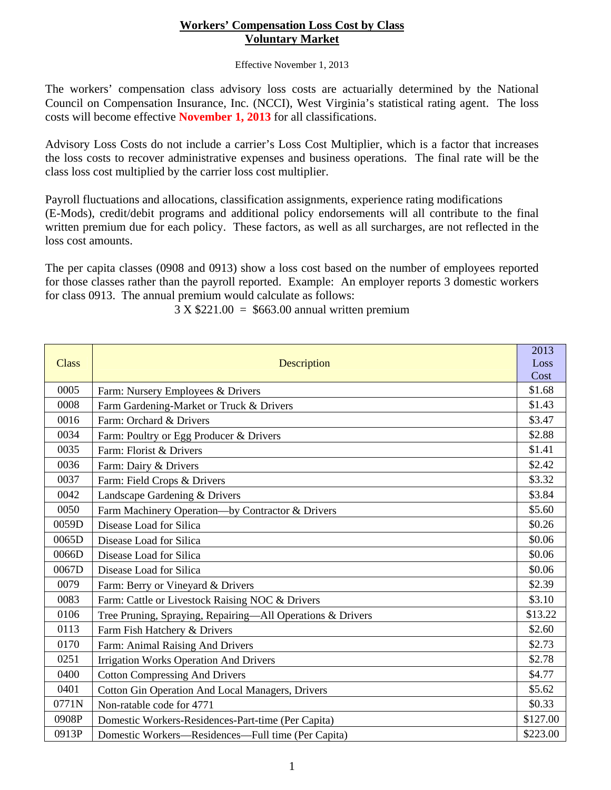## **Workers' Compensation Loss Cost by Class Voluntary Market**

Effective November 1, 2013

The workers' compensation class advisory loss costs are actuarially determined by the National Council on Compensation Insurance, Inc. (NCCI), West Virginia's statistical rating agent. The loss costs will become effective **November 1, 2013** for all classifications.

Advisory Loss Costs do not include a carrier's Loss Cost Multiplier, which is a factor that increases the loss costs to recover administrative expenses and business operations. The final rate will be the class loss cost multiplied by the carrier loss cost multiplier.

Payroll fluctuations and allocations, classification assignments, experience rating modifications (E-Mods), credit/debit programs and additional policy endorsements will all contribute to the final written premium due for each policy. These factors, as well as all surcharges, are not reflected in the loss cost amounts.

The per capita classes (0908 and 0913) show a loss cost based on the number of employees reported for those classes rather than the payroll reported. Example: An employer reports 3 domestic workers for class 0913. The annual premium would calculate as follows:

**Class** Description

| $3 \text{ X } $221.00 = $663.00$ annual written premium |  |
|---------------------------------------------------------|--|
|                                                         |  |

 2013 Loss

|       |                                                            | Cost     |
|-------|------------------------------------------------------------|----------|
| 0005  | Farm: Nursery Employees & Drivers                          | \$1.68   |
| 0008  | Farm Gardening-Market or Truck & Drivers                   | \$1.43   |
| 0016  | Farm: Orchard & Drivers                                    | \$3.47   |
| 0034  | Farm: Poultry or Egg Producer & Drivers                    | \$2.88   |
| 0035  | Farm: Florist & Drivers                                    | \$1.41   |
| 0036  | Farm: Dairy & Drivers                                      | \$2.42   |
| 0037  | Farm: Field Crops & Drivers                                | \$3.32   |
| 0042  | Landscape Gardening & Drivers                              | \$3.84   |
| 0050  | Farm Machinery Operation-by Contractor & Drivers           | \$5.60   |
| 0059D | Disease Load for Silica                                    | \$0.26   |
| 0065D | Disease Load for Silica                                    | \$0.06   |
| 0066D | Disease Load for Silica                                    | \$0.06   |
| 0067D | Disease Load for Silica                                    | \$0.06   |
| 0079  | Farm: Berry or Vineyard & Drivers                          | \$2.39   |
| 0083  | Farm: Cattle or Livestock Raising NOC & Drivers            | \$3.10   |
| 0106  | Tree Pruning, Spraying, Repairing-All Operations & Drivers | \$13.22  |
| 0113  | Farm Fish Hatchery & Drivers                               | \$2.60   |
| 0170  | Farm: Animal Raising And Drivers                           | \$2.73   |
| 0251  | <b>Irrigation Works Operation And Drivers</b>              | \$2.78   |
| 0400  | <b>Cotton Compressing And Drivers</b>                      | \$4.77   |
| 0401  | <b>Cotton Gin Operation And Local Managers, Drivers</b>    | \$5.62   |
| 0771N | Non-ratable code for 4771                                  | \$0.33   |
| 0908P | Domestic Workers-Residences-Part-time (Per Capita)         | \$127.00 |
| 0913P | Domestic Workers—Residences—Full time (Per Capita)         | \$223.00 |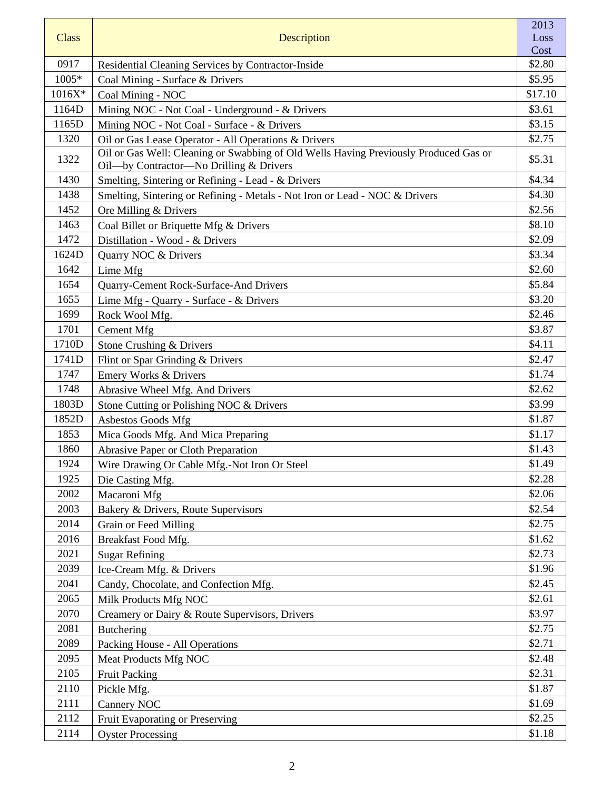|              |                                                                                                                                 | 2013    |
|--------------|---------------------------------------------------------------------------------------------------------------------------------|---------|
| <b>Class</b> | Description                                                                                                                     | Loss    |
|              |                                                                                                                                 | Cost    |
| 0917         | Residential Cleaning Services by Contractor-Inside                                                                              | \$2.80  |
| $1005*$      | Coal Mining - Surface & Drivers                                                                                                 | \$5.95  |
| $1016X*$     | Coal Mining - NOC                                                                                                               | \$17.10 |
| 1164D        | Mining NOC - Not Coal - Underground - & Drivers                                                                                 | \$3.61  |
| 1165D        | Mining NOC - Not Coal - Surface - & Drivers                                                                                     | \$3.15  |
| 1320         | Oil or Gas Lease Operator - All Operations & Drivers                                                                            | \$2.75  |
| 1322         | Oil or Gas Well: Cleaning or Swabbing of Old Wells Having Previously Produced Gas or<br>Oil-by Contractor-No Drilling & Drivers | \$5.31  |
| 1430         | Smelting, Sintering or Refining - Lead - & Drivers                                                                              | \$4.34  |
| 1438         | Smelting, Sintering or Refining - Metals - Not Iron or Lead - NOC & Drivers                                                     | \$4.30  |
| 1452         | Ore Milling & Drivers                                                                                                           | \$2.56  |
| 1463         | Coal Billet or Briquette Mfg & Drivers                                                                                          | \$8.10  |
| 1472         | Distillation - Wood - & Drivers                                                                                                 | \$2.09  |
| 1624D        | Quarry NOC & Drivers                                                                                                            | \$3.34  |
| 1642         | Lime Mfg                                                                                                                        | \$2.60  |
| 1654         | Quarry-Cement Rock-Surface-And Drivers                                                                                          | \$5.84  |
| 1655         | Lime Mfg - Quarry - Surface - & Drivers                                                                                         | \$3.20  |
| 1699         | Rock Wool Mfg.                                                                                                                  | \$2.46  |
| 1701         | Cement Mfg                                                                                                                      | \$3.87  |
| 1710D        | Stone Crushing & Drivers                                                                                                        | \$4.11  |
| 1741D        | Flint or Spar Grinding & Drivers                                                                                                | \$2.47  |
| 1747         | Emery Works & Drivers                                                                                                           | \$1.74  |
| 1748         | Abrasive Wheel Mfg. And Drivers                                                                                                 | \$2.62  |
| 1803D        | Stone Cutting or Polishing NOC & Drivers                                                                                        | \$3.99  |
| 1852D        | Asbestos Goods Mfg                                                                                                              | \$1.87  |
| 1853         | Mica Goods Mfg. And Mica Preparing                                                                                              | \$1.17  |
| 1860         | Abrasive Paper or Cloth Preparation                                                                                             | \$1.43  |
| 1924         | Wire Drawing Or Cable Mfg.-Not Iron Or Steel                                                                                    | \$1.49  |
| 1925         | Die Casting Mfg.                                                                                                                | \$2.28  |
| 2002         | Macaroni Mfg                                                                                                                    | \$2.06  |
| 2003         | Bakery & Drivers, Route Supervisors                                                                                             | \$2.54  |
| 2014         | Grain or Feed Milling                                                                                                           | \$2.75  |
| 2016         | Breakfast Food Mfg.                                                                                                             | \$1.62  |
| 2021         | <b>Sugar Refining</b>                                                                                                           | \$2.73  |
| 2039         | Ice-Cream Mfg. & Drivers                                                                                                        | \$1.96  |
| 2041         | Candy, Chocolate, and Confection Mfg.                                                                                           | \$2.45  |
| 2065         |                                                                                                                                 | \$2.61  |
| 2070         | Milk Products Mfg NOC                                                                                                           | \$3.97  |
| 2081         | Creamery or Dairy & Route Supervisors, Drivers                                                                                  | \$2.75  |
|              | Butchering                                                                                                                      |         |
| 2089         | Packing House - All Operations                                                                                                  | \$2.71  |
| 2095         | Meat Products Mfg NOC                                                                                                           | \$2.48  |
| 2105         | <b>Fruit Packing</b>                                                                                                            | \$2.31  |
| 2110         | Pickle Mfg.                                                                                                                     | \$1.87  |
| 2111         | Cannery NOC                                                                                                                     | \$1.69  |
| 2112         | Fruit Evaporating or Preserving                                                                                                 | \$2.25  |
| 2114         | <b>Oyster Processing</b>                                                                                                        | \$1.18  |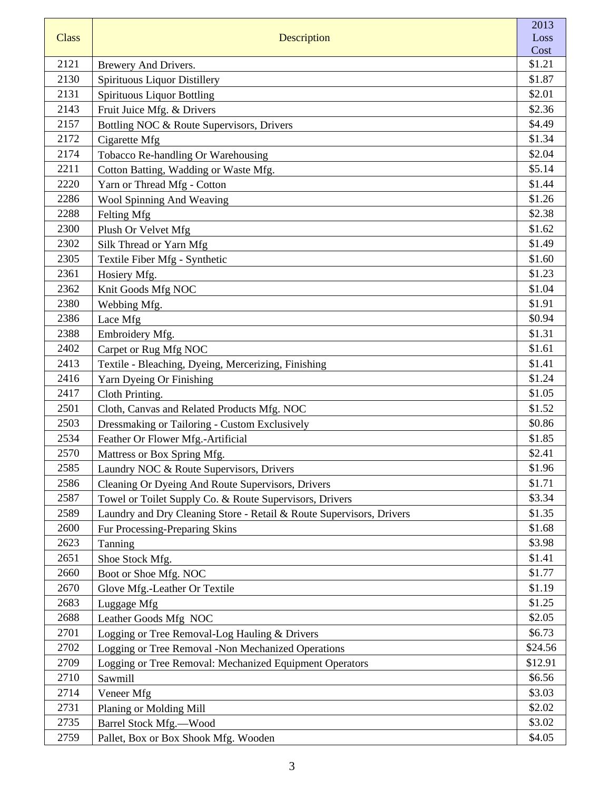|              |                                                                      | 2013         |
|--------------|----------------------------------------------------------------------|--------------|
| <b>Class</b> | <b>Description</b>                                                   | Loss<br>Cost |
| 2121         | Brewery And Drivers.                                                 | \$1.21       |
| 2130         | Spirituous Liquor Distillery                                         | \$1.87       |
| 2131         | <b>Spirituous Liquor Bottling</b>                                    | \$2.01       |
| 2143         | Fruit Juice Mfg. & Drivers                                           | \$2.36       |
| 2157         | Bottling NOC & Route Supervisors, Drivers                            | \$4.49       |
| 2172         | Cigarette Mfg                                                        | \$1.34       |
| 2174         | Tobacco Re-handling Or Warehousing                                   | \$2.04       |
| 2211         | Cotton Batting, Wadding or Waste Mfg.                                | \$5.14       |
| 2220         | Yarn or Thread Mfg - Cotton                                          | \$1.44       |
| 2286         | Wool Spinning And Weaving                                            | \$1.26       |
| 2288         | Felting Mfg                                                          | \$2.38       |
| 2300         | Plush Or Velvet Mfg                                                  | \$1.62       |
| 2302         | Silk Thread or Yarn Mfg                                              | \$1.49       |
| 2305         | Textile Fiber Mfg - Synthetic                                        | \$1.60       |
| 2361         | Hosiery Mfg.                                                         | \$1.23       |
| 2362         | Knit Goods Mfg NOC                                                   | \$1.04       |
| 2380         | Webbing Mfg.                                                         | \$1.91       |
| 2386         | Lace Mfg                                                             | \$0.94       |
| 2388         | Embroidery Mfg.                                                      | \$1.31       |
| 2402         | Carpet or Rug Mfg NOC                                                | \$1.61       |
| 2413         | Textile - Bleaching, Dyeing, Mercerizing, Finishing                  | \$1.41       |
| 2416         | Yarn Dyeing Or Finishing                                             | \$1.24       |
| 2417         | Cloth Printing.                                                      | \$1.05       |
| 2501         | Cloth, Canvas and Related Products Mfg. NOC                          | \$1.52       |
| 2503         | Dressmaking or Tailoring - Custom Exclusively                        | \$0.86       |
| 2534         | Feather Or Flower Mfg.-Artificial                                    | \$1.85       |
| 2570         | Mattress or Box Spring Mfg.                                          | \$2.41       |
| 2585         | Laundry NOC & Route Supervisors, Drivers                             | \$1.96       |
| 2586         | Cleaning Or Dyeing And Route Supervisors, Drivers                    | \$1.71       |
| 2587         | Towel or Toilet Supply Co. & Route Supervisors, Drivers              | \$3.34       |
| 2589         | Laundry and Dry Cleaning Store - Retail & Route Supervisors, Drivers | \$1.35       |
| 2600         | Fur Processing-Preparing Skins                                       | \$1.68       |
| 2623         | Tanning                                                              | \$3.98       |
| 2651         | Shoe Stock Mfg.                                                      | \$1.41       |
| 2660         | Boot or Shoe Mfg. NOC                                                | \$1.77       |
| 2670         | Glove Mfg.-Leather Or Textile                                        | \$1.19       |
| 2683         | Luggage Mfg                                                          | \$1.25       |
| 2688         | Leather Goods Mfg NOC                                                | \$2.05       |
| 2701         | Logging or Tree Removal-Log Hauling & Drivers                        | \$6.73       |
| 2702         | Logging or Tree Removal -Non Mechanized Operations                   | \$24.56      |
| 2709         | Logging or Tree Removal: Mechanized Equipment Operators              | \$12.91      |
| 2710         | Sawmill                                                              | \$6.56       |
| 2714         | Veneer Mfg                                                           | \$3.03       |
| 2731         | Planing or Molding Mill                                              | \$2.02       |
| 2735         | <b>Barrel Stock Mfg.-Wood</b>                                        | \$3.02       |
| 2759         | Pallet, Box or Box Shook Mfg. Wooden                                 | \$4.05       |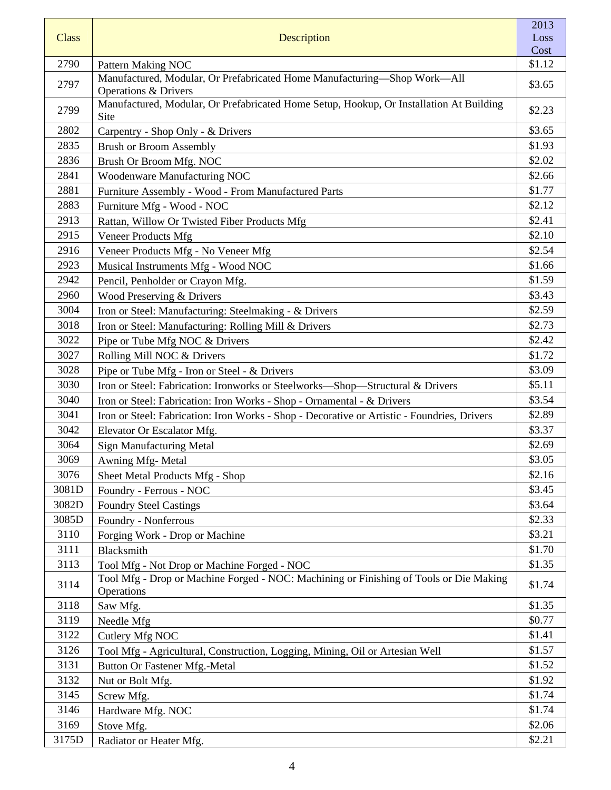| <b>Class</b> | Description                                                                                                 | 2013<br>Loss<br>Cost |
|--------------|-------------------------------------------------------------------------------------------------------------|----------------------|
| 2790         | <b>Pattern Making NOC</b>                                                                                   | \$1.12               |
| 2797         | Manufactured, Modular, Or Prefabricated Home Manufacturing-Shop Work-All<br><b>Operations &amp; Drivers</b> | \$3.65               |
| 2799         | Manufactured, Modular, Or Prefabricated Home Setup, Hookup, Or Installation At Building<br>Site             | \$2.23               |
| 2802         | Carpentry - Shop Only - & Drivers                                                                           | \$3.65               |
| 2835         | <b>Brush or Broom Assembly</b>                                                                              | \$1.93               |
| 2836         | Brush Or Broom Mfg. NOC                                                                                     | \$2.02               |
| 2841         | Woodenware Manufacturing NOC                                                                                | \$2.66               |
| 2881         | Furniture Assembly - Wood - From Manufactured Parts                                                         | \$1.77               |
| 2883         | Furniture Mfg - Wood - NOC                                                                                  | \$2.12               |
| 2913         | Rattan, Willow Or Twisted Fiber Products Mfg                                                                | \$2.41               |
| 2915         | <b>Veneer Products Mfg</b>                                                                                  | \$2.10               |
| 2916         | Veneer Products Mfg - No Veneer Mfg                                                                         | \$2.54               |
| 2923         | Musical Instruments Mfg - Wood NOC                                                                          | \$1.66               |
| 2942         | Pencil, Penholder or Crayon Mfg.                                                                            | \$1.59               |
| 2960         | Wood Preserving & Drivers                                                                                   | \$3.43               |
| 3004         | Iron or Steel: Manufacturing: Steelmaking - & Drivers                                                       | \$2.59               |
| 3018         | Iron or Steel: Manufacturing: Rolling Mill & Drivers                                                        | \$2.73               |
| 3022         | Pipe or Tube Mfg NOC & Drivers                                                                              | \$2.42               |
| 3027         | Rolling Mill NOC & Drivers                                                                                  | \$1.72               |
| 3028         | Pipe or Tube Mfg - Iron or Steel - & Drivers                                                                | \$3.09               |
| 3030         | Iron or Steel: Fabrication: Ironworks or Steelworks-Shop-Structural & Drivers                               | \$5.11               |
| 3040         | Iron or Steel: Fabrication: Iron Works - Shop - Ornamental - & Drivers                                      | \$3.54               |
| 3041         | Iron or Steel: Fabrication: Iron Works - Shop - Decorative or Artistic - Foundries, Drivers                 | \$2.89               |
| 3042         | Elevator Or Escalator Mfg.                                                                                  | \$3.37               |
| 3064         | Sign Manufacturing Metal                                                                                    | \$2.69               |
| 3069         | Awning Mfg-Metal                                                                                            | \$3.05               |
| 3076         | Sheet Metal Products Mfg - Shop                                                                             | \$2.16               |
| 3081D        | Foundry - Ferrous - NOC                                                                                     | \$3.45               |
| 3082D        | <b>Foundry Steel Castings</b>                                                                               | \$3.64               |
| 3085D        | Foundry - Nonferrous                                                                                        | \$2.33               |
| 3110         | Forging Work - Drop or Machine                                                                              | \$3.21               |
| 3111         | Blacksmith                                                                                                  | \$1.70               |
| 3113         | Tool Mfg - Not Drop or Machine Forged - NOC                                                                 | \$1.35               |
| 3114         | Tool Mfg - Drop or Machine Forged - NOC: Machining or Finishing of Tools or Die Making<br>Operations        | \$1.74               |
| 3118         | Saw Mfg.                                                                                                    | \$1.35               |
| 3119         | Needle Mfg                                                                                                  | \$0.77               |
| 3122         | Cutlery Mfg NOC                                                                                             | \$1.41               |
| 3126         | Tool Mfg - Agricultural, Construction, Logging, Mining, Oil or Artesian Well                                | \$1.57               |
| 3131         | Button Or Fastener Mfg.-Metal                                                                               | \$1.52               |
| 3132         | Nut or Bolt Mfg.                                                                                            | \$1.92               |
| 3145         | Screw Mfg.                                                                                                  | \$1.74               |
| 3146         | Hardware Mfg. NOC                                                                                           | \$1.74               |
| 3169         | Stove Mfg.                                                                                                  | \$2.06               |
| 3175D        | Radiator or Heater Mfg.                                                                                     | \$2.21               |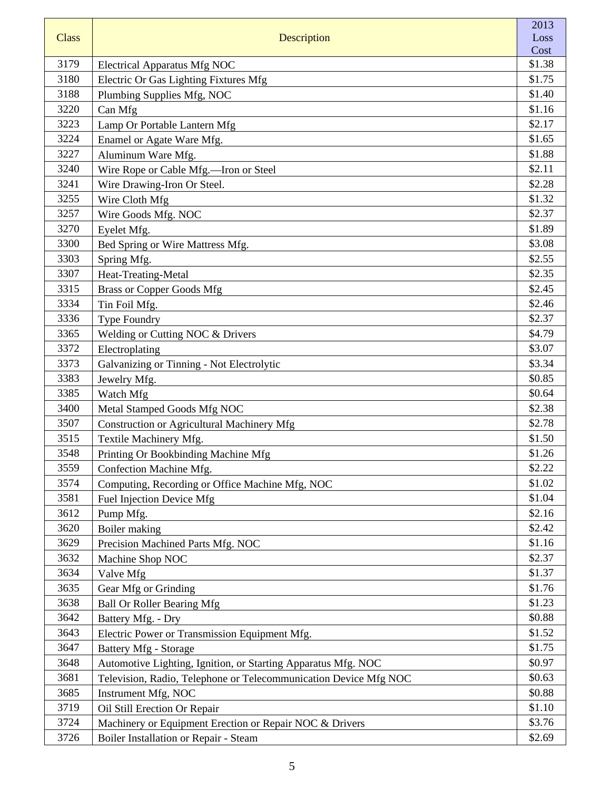| <b>Class</b> | Description                                                      | 2013<br>Loss |
|--------------|------------------------------------------------------------------|--------------|
|              |                                                                  | Cost         |
| 3179         | <b>Electrical Apparatus Mfg NOC</b>                              | \$1.38       |
| 3180         | Electric Or Gas Lighting Fixtures Mfg                            | \$1.75       |
| 3188         | Plumbing Supplies Mfg, NOC                                       | \$1.40       |
| 3220         | Can Mfg                                                          | \$1.16       |
| 3223         | Lamp Or Portable Lantern Mfg                                     | \$2.17       |
| 3224         | Enamel or Agate Ware Mfg.                                        | \$1.65       |
| 3227         | Aluminum Ware Mfg.                                               | \$1.88       |
| 3240         | Wire Rope or Cable Mfg.—Iron or Steel                            | \$2.11       |
| 3241         | Wire Drawing-Iron Or Steel.                                      | \$2.28       |
| 3255         | Wire Cloth Mfg                                                   | \$1.32       |
| 3257         | Wire Goods Mfg. NOC                                              | \$2.37       |
| 3270         | Eyelet Mfg.                                                      | \$1.89       |
| 3300         | Bed Spring or Wire Mattress Mfg.                                 | \$3.08       |
| 3303         | Spring Mfg.                                                      | \$2.55       |
| 3307         | Heat-Treating-Metal                                              | \$2.35       |
| 3315         | <b>Brass or Copper Goods Mfg</b>                                 | \$2.45       |
| 3334         | Tin Foil Mfg.                                                    | \$2.46       |
| 3336         | <b>Type Foundry</b>                                              | \$2.37       |
| 3365         | Welding or Cutting NOC & Drivers                                 | \$4.79       |
| 3372         | Electroplating                                                   | \$3.07       |
| 3373         | Galvanizing or Tinning - Not Electrolytic                        | \$3.34       |
| 3383         | Jewelry Mfg.                                                     | \$0.85       |
| 3385         | Watch Mfg                                                        | \$0.64       |
| 3400         | Metal Stamped Goods Mfg NOC                                      | \$2.38       |
| 3507         | <b>Construction or Agricultural Machinery Mfg</b>                | \$2.78       |
| 3515         | Textile Machinery Mfg.                                           | \$1.50       |
| 3548         | Printing Or Bookbinding Machine Mfg                              | \$1.26       |
| 3559         | Confection Machine Mfg.                                          | \$2.22       |
| 3574         | Computing, Recording or Office Machine Mfg, NOC                  | \$1.02       |
| 3581         | Fuel Injection Device Mfg                                        | \$1.04       |
| 3612         | Pump Mfg.                                                        | \$2.16       |
| 3620         | Boiler making                                                    | \$2.42       |
| 3629         | Precision Machined Parts Mfg. NOC                                | \$1.16       |
| 3632         | Machine Shop NOC                                                 | \$2.37       |
| 3634         | Valve Mfg                                                        | \$1.37       |
| 3635         | Gear Mfg or Grinding                                             | \$1.76       |
| 3638         | <b>Ball Or Roller Bearing Mfg</b>                                | \$1.23       |
| 3642         | Battery Mfg. - Dry                                               | \$0.88       |
| 3643         | Electric Power or Transmission Equipment Mfg.                    | \$1.52       |
| 3647         | <b>Battery Mfg - Storage</b>                                     | \$1.75       |
| 3648         | Automotive Lighting, Ignition, or Starting Apparatus Mfg. NOC    | \$0.97       |
| 3681         | Television, Radio, Telephone or Telecommunication Device Mfg NOC | \$0.63       |
| 3685         | Instrument Mfg, NOC                                              | \$0.88       |
| 3719         | Oil Still Erection Or Repair                                     | \$1.10       |
| 3724         | Machinery or Equipment Erection or Repair NOC & Drivers          | \$3.76       |
| 3726         | Boiler Installation or Repair - Steam                            | \$2.69       |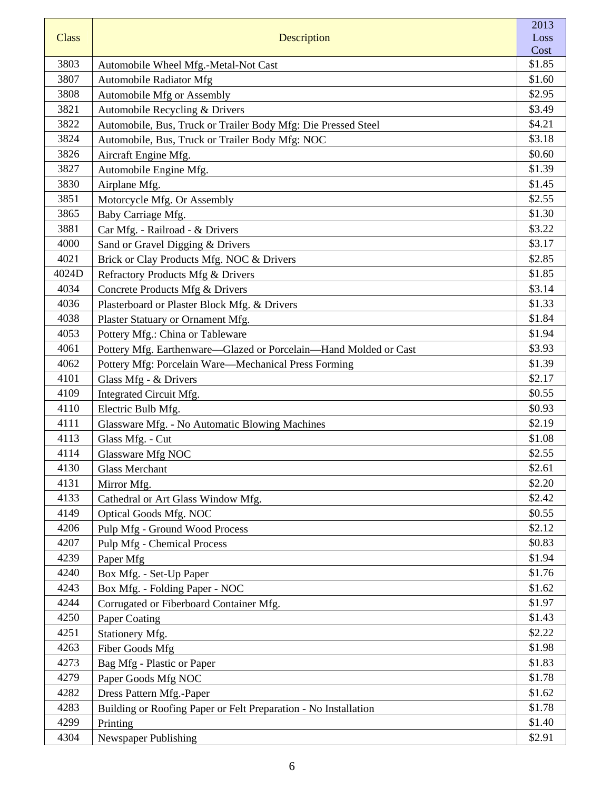|       |                                                                  | 2013         |
|-------|------------------------------------------------------------------|--------------|
| Class | Description                                                      | Loss<br>Cost |
| 3803  | Automobile Wheel Mfg.-Metal-Not Cast                             | \$1.85       |
| 3807  | Automobile Radiator Mfg                                          | \$1.60       |
| 3808  | Automobile Mfg or Assembly                                       | \$2.95       |
| 3821  | Automobile Recycling & Drivers                                   | \$3.49       |
| 3822  | Automobile, Bus, Truck or Trailer Body Mfg: Die Pressed Steel    | \$4.21       |
| 3824  | Automobile, Bus, Truck or Trailer Body Mfg: NOC                  | \$3.18       |
| 3826  | Aircraft Engine Mfg.                                             | \$0.60       |
| 3827  | Automobile Engine Mfg.                                           | \$1.39       |
| 3830  | Airplane Mfg.                                                    | \$1.45       |
| 3851  | Motorcycle Mfg. Or Assembly                                      | \$2.55       |
| 3865  | Baby Carriage Mfg.                                               | \$1.30       |
| 3881  | Car Mfg. - Railroad - & Drivers                                  | \$3.22       |
| 4000  | Sand or Gravel Digging & Drivers                                 | \$3.17       |
| 4021  | Brick or Clay Products Mfg. NOC & Drivers                        | \$2.85       |
| 4024D | Refractory Products Mfg & Drivers                                | \$1.85       |
| 4034  | Concrete Products Mfg & Drivers                                  | \$3.14       |
| 4036  | Plasterboard or Plaster Block Mfg. & Drivers                     | \$1.33       |
| 4038  | Plaster Statuary or Ornament Mfg.                                | \$1.84       |
| 4053  | Pottery Mfg.: China or Tableware                                 | \$1.94       |
| 4061  | Pottery Mfg. Earthenware—Glazed or Porcelain—Hand Molded or Cast | \$3.93       |
| 4062  | Pottery Mfg: Porcelain Ware—Mechanical Press Forming             | \$1.39       |
| 4101  | Glass Mfg - & Drivers                                            | \$2.17       |
| 4109  | Integrated Circuit Mfg.                                          | \$0.55       |
| 4110  | Electric Bulb Mfg.                                               | \$0.93       |
| 4111  | Glassware Mfg. - No Automatic Blowing Machines                   | \$2.19       |
| 4113  | Glass Mfg. - Cut                                                 | \$1.08       |
| 4114  | <b>Glassware Mfg NOC</b>                                         | \$2.55       |
| 4130  | <b>Glass Merchant</b>                                            | \$2.61       |
| 4131  | Mirror Mfg.                                                      | \$2.20       |
| 4133  | Cathedral or Art Glass Window Mfg.                               | \$2.42       |
| 4149  | Optical Goods Mfg. NOC                                           | \$0.55       |
| 4206  | Pulp Mfg - Ground Wood Process                                   | \$2.12       |
| 4207  | <b>Pulp Mfg - Chemical Process</b>                               | \$0.83       |
| 4239  | Paper Mfg                                                        | \$1.94       |
| 4240  | Box Mfg. - Set-Up Paper                                          | \$1.76       |
| 4243  | Box Mfg. - Folding Paper - NOC                                   | \$1.62       |
| 4244  | Corrugated or Fiberboard Container Mfg.                          | \$1.97       |
| 4250  | Paper Coating                                                    | \$1.43       |
| 4251  | Stationery Mfg.                                                  | \$2.22       |
| 4263  | Fiber Goods Mfg                                                  | \$1.98       |
| 4273  | Bag Mfg - Plastic or Paper                                       | \$1.83       |
| 4279  | Paper Goods Mfg NOC                                              | \$1.78       |
| 4282  | Dress Pattern Mfg.-Paper                                         | \$1.62       |
| 4283  | Building or Roofing Paper or Felt Preparation - No Installation  | \$1.78       |
| 4299  | Printing                                                         | \$1.40       |
| 4304  | Newspaper Publishing                                             | \$2.91       |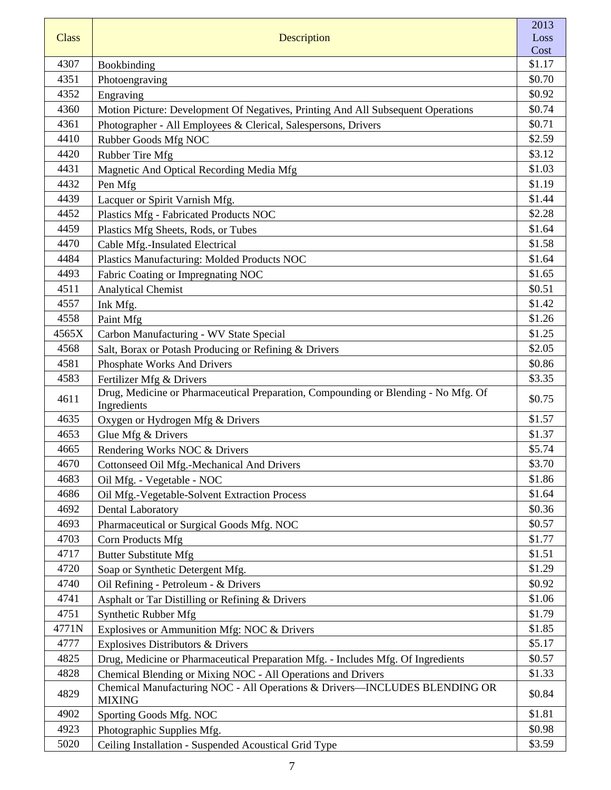|              |                                                                                                   | 2013         |
|--------------|---------------------------------------------------------------------------------------------------|--------------|
| <b>Class</b> | Description                                                                                       | Loss<br>Cost |
| 4307         | Bookbinding                                                                                       | \$1.17       |
| 4351         | Photoengraving                                                                                    | \$0.70       |
| 4352         | Engraving                                                                                         | \$0.92       |
| 4360         | Motion Picture: Development Of Negatives, Printing And All Subsequent Operations                  | \$0.74       |
| 4361         | Photographer - All Employees & Clerical, Salespersons, Drivers                                    | \$0.71       |
| 4410         | Rubber Goods Mfg NOC                                                                              | \$2.59       |
| 4420         | Rubber Tire Mfg                                                                                   | \$3.12       |
| 4431         | Magnetic And Optical Recording Media Mfg                                                          | \$1.03       |
| 4432         | Pen Mfg                                                                                           | \$1.19       |
| 4439         | Lacquer or Spirit Varnish Mfg.                                                                    | \$1.44       |
| 4452         | Plastics Mfg - Fabricated Products NOC                                                            | \$2.28       |
| 4459         | Plastics Mfg Sheets, Rods, or Tubes                                                               | \$1.64       |
| 4470         | Cable Mfg.-Insulated Electrical                                                                   | \$1.58       |
| 4484         | Plastics Manufacturing: Molded Products NOC                                                       | \$1.64       |
| 4493         | Fabric Coating or Impregnating NOC                                                                | \$1.65       |
| 4511         | <b>Analytical Chemist</b>                                                                         | \$0.51       |
| 4557         | Ink Mfg.                                                                                          | \$1.42       |
| 4558         | Paint Mfg                                                                                         | \$1.26       |
| 4565X        | Carbon Manufacturing - WV State Special                                                           | \$1.25       |
| 4568         | Salt, Borax or Potash Producing or Refining & Drivers                                             | \$2.05       |
| 4581         | Phosphate Works And Drivers                                                                       | \$0.86       |
| 4583         | Fertilizer Mfg & Drivers                                                                          | \$3.35       |
| 4611         | Drug, Medicine or Pharmaceutical Preparation, Compounding or Blending - No Mfg. Of<br>Ingredients | \$0.75       |
| 4635         | Oxygen or Hydrogen Mfg & Drivers                                                                  | \$1.57       |
| 4653         | Glue Mfg & Drivers                                                                                | \$1.37       |
| 4665         | Rendering Works NOC & Drivers                                                                     | \$5.74       |
| 4670         | Cottonseed Oil Mfg.-Mechanical And Drivers                                                        | \$3.70       |
| 4683         | Oil Mfg. - Vegetable - NOC                                                                        | \$1.86       |
| 4686         | Oil Mfg.-Vegetable-Solvent Extraction Process                                                     | \$1.64       |
| 4692         | <b>Dental Laboratory</b>                                                                          | \$0.36       |
| 4693         | Pharmaceutical or Surgical Goods Mfg. NOC                                                         | \$0.57       |
| 4703         | Corn Products Mfg                                                                                 | \$1.77       |
| 4717         | <b>Butter Substitute Mfg</b>                                                                      | \$1.51       |
| 4720         | Soap or Synthetic Detergent Mfg.                                                                  | \$1.29       |
| 4740         | Oil Refining - Petroleum - & Drivers                                                              | \$0.92       |
| 4741         | Asphalt or Tar Distilling or Refining & Drivers                                                   | \$1.06       |
| 4751         | Synthetic Rubber Mfg                                                                              | \$1.79       |
| 4771N        | Explosives or Ammunition Mfg: NOC & Drivers                                                       | \$1.85       |
| 4777         | Explosives Distributors & Drivers                                                                 | \$5.17       |
| 4825         | Drug, Medicine or Pharmaceutical Preparation Mfg. - Includes Mfg. Of Ingredients                  | \$0.57       |
| 4828         | Chemical Blending or Mixing NOC - All Operations and Drivers                                      | \$1.33       |
| 4829         | Chemical Manufacturing NOC - All Operations & Drivers-INCLUDES BLENDING OR<br><b>MIXING</b>       | \$0.84       |
| 4902         | Sporting Goods Mfg. NOC                                                                           | \$1.81       |
| 4923         | Photographic Supplies Mfg.                                                                        | \$0.98       |
| 5020         | Ceiling Installation - Suspended Acoustical Grid Type                                             | \$3.59       |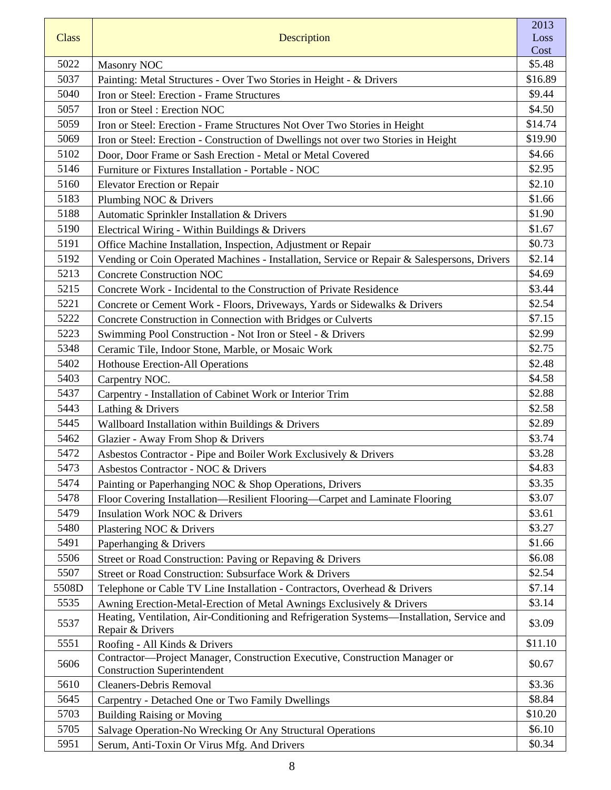| <b>Class</b> | Description                                                                                                       | 2013<br>Loss      |
|--------------|-------------------------------------------------------------------------------------------------------------------|-------------------|
|              |                                                                                                                   | Cost              |
| 5022<br>5037 | <b>Masonry NOC</b>                                                                                                | \$5.48<br>\$16.89 |
| 5040         | Painting: Metal Structures - Over Two Stories in Height - & Drivers                                               | \$9.44            |
| 5057         | Iron or Steel: Erection - Frame Structures                                                                        |                   |
| 5059         | Iron or Steel: Erection NOC                                                                                       | \$4.50<br>\$14.74 |
| 5069         | Iron or Steel: Erection - Frame Structures Not Over Two Stories in Height                                         |                   |
| 5102         | Iron or Steel: Erection - Construction of Dwellings not over two Stories in Height                                | \$19.90<br>\$4.66 |
|              | Door, Door Frame or Sash Erection - Metal or Metal Covered                                                        |                   |
| 5146         | Furniture or Fixtures Installation - Portable - NOC                                                               | \$2.95            |
| 5160         | <b>Elevator Erection or Repair</b>                                                                                | \$2.10            |
| 5183         | Plumbing NOC & Drivers                                                                                            | \$1.66            |
| 5188         | Automatic Sprinkler Installation & Drivers                                                                        | \$1.90            |
| 5190         | Electrical Wiring - Within Buildings & Drivers                                                                    | \$1.67            |
| 5191         | Office Machine Installation, Inspection, Adjustment or Repair                                                     | \$0.73            |
| 5192         | Vending or Coin Operated Machines - Installation, Service or Repair & Salespersons, Drivers                       | \$2.14            |
| 5213         | <b>Concrete Construction NOC</b>                                                                                  | \$4.69            |
| 5215         | Concrete Work - Incidental to the Construction of Private Residence                                               | \$3.44            |
| 5221         | Concrete or Cement Work - Floors, Driveways, Yards or Sidewalks & Drivers                                         | \$2.54            |
| 5222         | Concrete Construction in Connection with Bridges or Culverts                                                      | \$7.15            |
| 5223         | Swimming Pool Construction - Not Iron or Steel - & Drivers                                                        | \$2.99            |
| 5348         | Ceramic Tile, Indoor Stone, Marble, or Mosaic Work                                                                | \$2.75            |
| 5402         | Hothouse Erection-All Operations                                                                                  | \$2.48            |
| 5403         | Carpentry NOC.                                                                                                    | \$4.58            |
| 5437         | Carpentry - Installation of Cabinet Work or Interior Trim                                                         | \$2.88            |
| 5443         | Lathing & Drivers                                                                                                 | \$2.58            |
| 5445         | Wallboard Installation within Buildings & Drivers                                                                 | \$2.89            |
| 5462         | Glazier - Away From Shop & Drivers                                                                                | \$3.74            |
| 5472         | Asbestos Contractor - Pipe and Boiler Work Exclusively & Drivers                                                  | \$3.28            |
| 5473         | Asbestos Contractor - NOC & Drivers                                                                               | \$4.83            |
| 5474         | Painting or Paperhanging NOC & Shop Operations, Drivers                                                           | \$3.35            |
| 5478         | Floor Covering Installation—Resilient Flooring—Carpet and Laminate Flooring                                       | \$3.07            |
| 5479         | <b>Insulation Work NOC &amp; Drivers</b>                                                                          | \$3.61            |
| 5480         | Plastering NOC & Drivers                                                                                          | \$3.27            |
| 5491         | Paperhanging & Drivers                                                                                            | \$1.66            |
| 5506         | Street or Road Construction: Paving or Repaving & Drivers                                                         | \$6.08            |
| 5507         | Street or Road Construction: Subsurface Work & Drivers                                                            | \$2.54            |
| 5508D        | Telephone or Cable TV Line Installation - Contractors, Overhead & Drivers                                         | \$7.14            |
| 5535         | Awning Erection-Metal-Erection of Metal Awnings Exclusively & Drivers                                             | \$3.14            |
| 5537         | Heating, Ventilation, Air-Conditioning and Refrigeration Systems-Installation, Service and<br>Repair & Drivers    | \$3.09            |
| 5551         | Roofing - All Kinds & Drivers                                                                                     | \$11.10           |
| 5606         | Contractor-Project Manager, Construction Executive, Construction Manager or<br><b>Construction Superintendent</b> | \$0.67            |
| 5610         | Cleaners-Debris Removal                                                                                           | \$3.36            |
| 5645         | Carpentry - Detached One or Two Family Dwellings                                                                  | \$8.84            |
| 5703         | <b>Building Raising or Moving</b>                                                                                 | \$10.20           |
| 5705         | Salvage Operation-No Wrecking Or Any Structural Operations                                                        | \$6.10            |
| 5951         | Serum, Anti-Toxin Or Virus Mfg. And Drivers                                                                       | \$0.34            |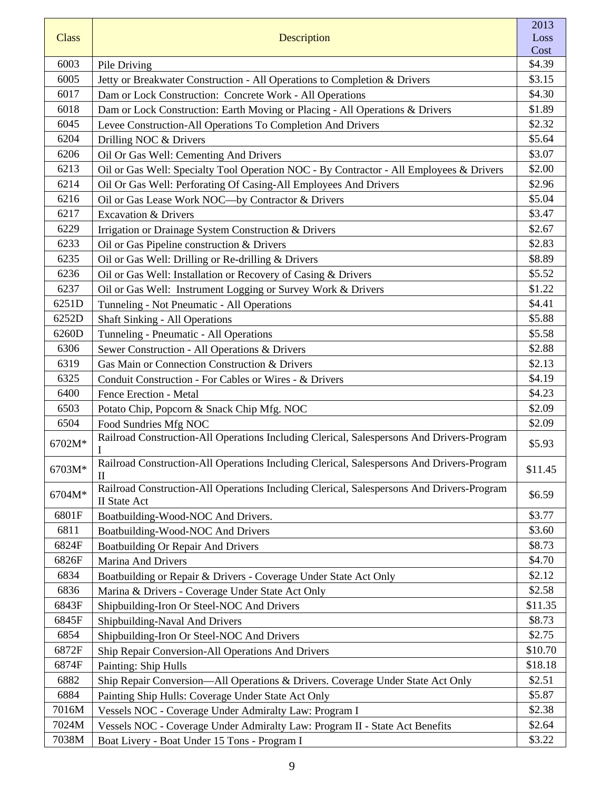|              |                                                                                                                  | 2013           |
|--------------|------------------------------------------------------------------------------------------------------------------|----------------|
| <b>Class</b> | Description                                                                                                      | Loss           |
| 6003         |                                                                                                                  | Cost<br>\$4.39 |
| 6005         | Pile Driving                                                                                                     | \$3.15         |
| 6017         | Jetty or Breakwater Construction - All Operations to Completion & Drivers                                        | \$4.30         |
| 6018         | Dam or Lock Construction: Concrete Work - All Operations                                                         | \$1.89         |
| 6045         | Dam or Lock Construction: Earth Moving or Placing - All Operations & Drivers                                     | \$2.32         |
| 6204         | Levee Construction-All Operations To Completion And Drivers<br>Drilling NOC & Drivers                            | \$5.64         |
| 6206         | Oil Or Gas Well: Cementing And Drivers                                                                           | \$3.07         |
| 6213         | Oil or Gas Well: Specialty Tool Operation NOC - By Contractor - All Employees & Drivers                          | \$2.00         |
| 6214         | Oil Or Gas Well: Perforating Of Casing-All Employees And Drivers                                                 | \$2.96         |
| 6216         | Oil or Gas Lease Work NOC-by Contractor & Drivers                                                                | \$5.04         |
| 6217         | <b>Excavation &amp; Drivers</b>                                                                                  | \$3.47         |
| 6229         | Irrigation or Drainage System Construction & Drivers                                                             | \$2.67         |
| 6233         | Oil or Gas Pipeline construction & Drivers                                                                       | \$2.83         |
| 6235         | Oil or Gas Well: Drilling or Re-drilling & Drivers                                                               | \$8.89         |
| 6236         | Oil or Gas Well: Installation or Recovery of Casing & Drivers                                                    | \$5.52         |
| 6237         | Oil or Gas Well: Instrument Logging or Survey Work & Drivers                                                     | \$1.22         |
| 6251D        | Tunneling - Not Pneumatic - All Operations                                                                       | \$4.41         |
| 6252D        | <b>Shaft Sinking - All Operations</b>                                                                            | \$5.88         |
| 6260D        | Tunneling - Pneumatic - All Operations                                                                           | \$5.58         |
| 6306         | Sewer Construction - All Operations & Drivers                                                                    | \$2.88         |
| 6319         | Gas Main or Connection Construction & Drivers                                                                    | \$2.13         |
| 6325         | Conduit Construction - For Cables or Wires - & Drivers                                                           | \$4.19         |
| 6400         | Fence Erection - Metal                                                                                           | \$4.23         |
| 6503         | Potato Chip, Popcorn & Snack Chip Mfg. NOC                                                                       | \$2.09         |
| 6504         | Food Sundries Mfg NOC                                                                                            | \$2.09         |
|              | Railroad Construction-All Operations Including Clerical, Salespersons And Drivers-Program                        |                |
| 6702M*       |                                                                                                                  | \$5.93         |
| 6703M*       | Railroad Construction-All Operations Including Clerical, Salespersons And Drivers-Program<br>$\mathbf{I}$        | \$11.45        |
| 6704M*       | Railroad Construction-All Operations Including Clerical, Salespersons And Drivers-Program<br><b>II</b> State Act | \$6.59         |
| 6801F        | Boatbuilding-Wood-NOC And Drivers.                                                                               | \$3.77         |
| 6811         | Boatbuilding-Wood-NOC And Drivers                                                                                | \$3.60         |
| 6824F        | Boatbuilding Or Repair And Drivers                                                                               | \$8.73         |
| 6826F        | Marina And Drivers                                                                                               | \$4.70         |
| 6834         | Boatbuilding or Repair & Drivers - Coverage Under State Act Only                                                 | \$2.12         |
| 6836         | Marina & Drivers - Coverage Under State Act Only                                                                 | \$2.58         |
| 6843F        | Shipbuilding-Iron Or Steel-NOC And Drivers                                                                       | \$11.35        |
| 6845F        | Shipbuilding-Naval And Drivers                                                                                   | \$8.73         |
| 6854         | Shipbuilding-Iron Or Steel-NOC And Drivers                                                                       | \$2.75         |
| 6872F        | Ship Repair Conversion-All Operations And Drivers                                                                | \$10.70        |
| 6874F        | <b>Painting: Ship Hulls</b>                                                                                      | \$18.18        |
| 6882         | Ship Repair Conversion—All Operations & Drivers. Coverage Under State Act Only                                   | \$2.51         |
| 6884         | Painting Ship Hulls: Coverage Under State Act Only                                                               | \$5.87         |
| 7016M        | Vessels NOC - Coverage Under Admiralty Law: Program I                                                            | \$2.38         |
| 7024M        | Vessels NOC - Coverage Under Admiralty Law: Program II - State Act Benefits                                      | \$2.64         |
| 7038M        | Boat Livery - Boat Under 15 Tons - Program I                                                                     | \$3.22         |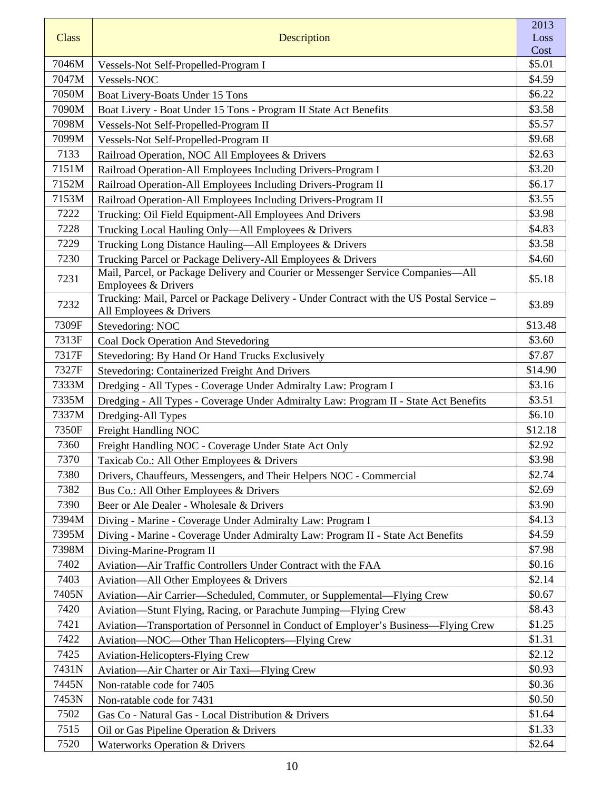| <b>Class</b> | <b>Description</b>                                                                                                  | 2013<br>Loss |
|--------------|---------------------------------------------------------------------------------------------------------------------|--------------|
|              |                                                                                                                     | Cost         |
| 7046M        | Vessels-Not Self-Propelled-Program I                                                                                | \$5.01       |
| 7047M        | Vessels-NOC                                                                                                         | \$4.59       |
| 7050M        | Boat Livery-Boats Under 15 Tons                                                                                     | \$6.22       |
| 7090M        | Boat Livery - Boat Under 15 Tons - Program II State Act Benefits                                                    | \$3.58       |
| 7098M        | Vessels-Not Self-Propelled-Program II                                                                               | \$5.57       |
| 7099M        | Vessels-Not Self-Propelled-Program II                                                                               | \$9.68       |
| 7133         | Railroad Operation, NOC All Employees & Drivers                                                                     | \$2.63       |
| 7151M        | Railroad Operation-All Employees Including Drivers-Program I                                                        | \$3.20       |
| 7152M        | Railroad Operation-All Employees Including Drivers-Program II                                                       | \$6.17       |
| 7153M        | Railroad Operation-All Employees Including Drivers-Program II                                                       | \$3.55       |
| 7222         | Trucking: Oil Field Equipment-All Employees And Drivers                                                             | \$3.98       |
| 7228         | Trucking Local Hauling Only—All Employees & Drivers                                                                 | \$4.83       |
| 7229         | Trucking Long Distance Hauling—All Employees & Drivers                                                              | \$3.58       |
| 7230         | Trucking Parcel or Package Delivery-All Employees & Drivers                                                         | \$4.60       |
| 7231         | Mail, Parcel, or Package Delivery and Courier or Messenger Service Companies-All<br>Employees & Drivers             | \$5.18       |
| 7232         | Trucking: Mail, Parcel or Package Delivery - Under Contract with the US Postal Service -<br>All Employees & Drivers | \$3.89       |
| 7309F        | Stevedoring: NOC                                                                                                    | \$13.48      |
| 7313F        | Coal Dock Operation And Stevedoring                                                                                 | \$3.60       |
| 7317F        | Stevedoring: By Hand Or Hand Trucks Exclusively                                                                     | \$7.87       |
| 7327F        | Stevedoring: Containerized Freight And Drivers                                                                      | \$14.90      |
| 7333M        | Dredging - All Types - Coverage Under Admiralty Law: Program I                                                      | \$3.16       |
| 7335M        | Dredging - All Types - Coverage Under Admiralty Law: Program II - State Act Benefits                                | \$3.51       |
| 7337M        | Dredging-All Types                                                                                                  | \$6.10       |
| 7350F        | Freight Handling NOC                                                                                                | \$12.18      |
| 7360         | Freight Handling NOC - Coverage Under State Act Only                                                                | \$2.92       |
| 7370         | Taxicab Co.: All Other Employees & Drivers                                                                          | \$3.98       |
| 7380         | Drivers, Chauffeurs, Messengers, and Their Helpers NOC - Commercial                                                 | \$2.74       |
| 7382         | Bus Co.: All Other Employees & Drivers                                                                              | \$2.69       |
| 7390         | Beer or Ale Dealer - Wholesale & Drivers                                                                            | \$3.90       |
| 7394M        | Diving - Marine - Coverage Under Admiralty Law: Program I                                                           | \$4.13       |
| 7395M        | Diving - Marine - Coverage Under Admiralty Law: Program II - State Act Benefits                                     | \$4.59       |
| 7398M        | Diving-Marine-Program II                                                                                            | \$7.98       |
| 7402         | Aviation-Air Traffic Controllers Under Contract with the FAA                                                        | \$0.16       |
| 7403         | Aviation—All Other Employees & Drivers                                                                              | \$2.14       |
| 7405N        | Aviation-Air Carrier-Scheduled, Commuter, or Supplemental-Flying Crew                                               | \$0.67       |
| 7420         | Aviation—Stunt Flying, Racing, or Parachute Jumping—Flying Crew                                                     | \$8.43       |
| 7421         | Aviation—Transportation of Personnel in Conduct of Employer's Business—Flying Crew                                  | \$1.25       |
| 7422         | Aviation-NOC-Other Than Helicopters-Flying Crew                                                                     | \$1.31       |
| 7425         | <b>Aviation-Helicopters-Flying Crew</b>                                                                             | \$2.12       |
| 7431N        | Aviation—Air Charter or Air Taxi—Flying Crew                                                                        | \$0.93       |
| 7445N        | Non-ratable code for 7405                                                                                           | \$0.36       |
| 7453N        | Non-ratable code for 7431                                                                                           | \$0.50       |
| 7502         | Gas Co - Natural Gas - Local Distribution & Drivers                                                                 | \$1.64       |
| 7515         | Oil or Gas Pipeline Operation & Drivers                                                                             | \$1.33       |
| 7520         | Waterworks Operation & Drivers                                                                                      | \$2.64       |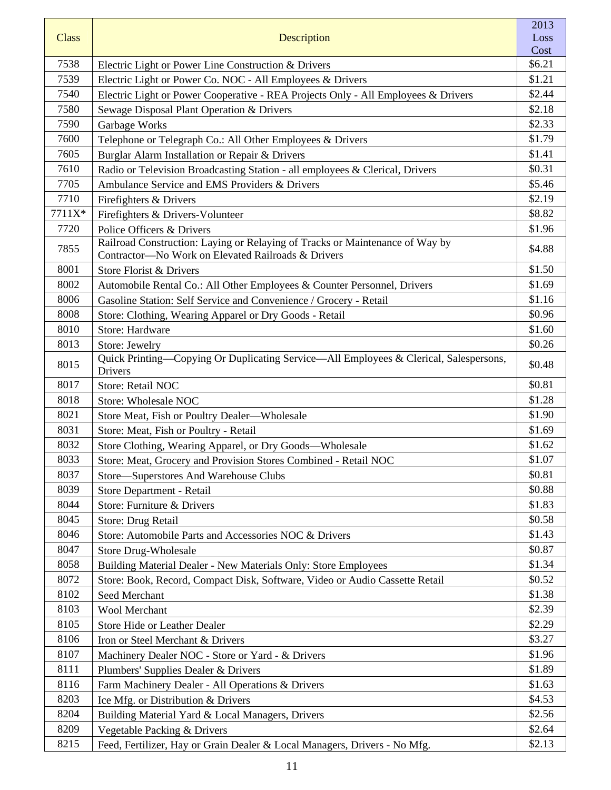| <b>Class</b> |                                                                                                                                    | 2013<br>Loss |
|--------------|------------------------------------------------------------------------------------------------------------------------------------|--------------|
|              | Description                                                                                                                        | Cost         |
| 7538         | Electric Light or Power Line Construction & Drivers                                                                                | \$6.21       |
| 7539         | Electric Light or Power Co. NOC - All Employees & Drivers                                                                          | \$1.21       |
| 7540         | Electric Light or Power Cooperative - REA Projects Only - All Employees & Drivers                                                  | \$2.44       |
| 7580         | Sewage Disposal Plant Operation & Drivers                                                                                          | \$2.18       |
| 7590         | Garbage Works                                                                                                                      | \$2.33       |
| 7600         | Telephone or Telegraph Co.: All Other Employees & Drivers                                                                          | \$1.79       |
| 7605         | Burglar Alarm Installation or Repair & Drivers                                                                                     | \$1.41       |
| 7610         | Radio or Television Broadcasting Station - all employees & Clerical, Drivers                                                       | \$0.31       |
| 7705         | Ambulance Service and EMS Providers & Drivers                                                                                      | \$5.46       |
| 7710         | Firefighters & Drivers                                                                                                             | \$2.19       |
| 7711X*       | Firefighters & Drivers-Volunteer                                                                                                   | \$8.82       |
| 7720         | Police Officers & Drivers                                                                                                          | \$1.96       |
| 7855         | Railroad Construction: Laying or Relaying of Tracks or Maintenance of Way by<br>Contractor-No Work on Elevated Railroads & Drivers | \$4.88       |
| 8001         | Store Florist & Drivers                                                                                                            | \$1.50       |
| 8002         | Automobile Rental Co.: All Other Employees & Counter Personnel, Drivers                                                            | \$1.69       |
| 8006         | Gasoline Station: Self Service and Convenience / Grocery - Retail                                                                  | \$1.16       |
| 8008         | Store: Clothing, Wearing Apparel or Dry Goods - Retail                                                                             | \$0.96       |
| 8010         | Store: Hardware                                                                                                                    | \$1.60       |
| 8013         | Store: Jewelry                                                                                                                     | \$0.26       |
| 8015         | Quick Printing-Copying Or Duplicating Service-All Employees & Clerical, Salespersons,<br>Drivers                                   | \$0.48       |
| 8017         | Store: Retail NOC                                                                                                                  | \$0.81       |
| 8018         | Store: Wholesale NOC                                                                                                               | \$1.28       |
| 8021         | Store Meat, Fish or Poultry Dealer-Wholesale                                                                                       | \$1.90       |
| 8031         | Store: Meat, Fish or Poultry - Retail                                                                                              | \$1.69       |
| 8032         | Store Clothing, Wearing Apparel, or Dry Goods-Wholesale                                                                            | \$1.62       |
| 8033         | Store: Meat, Grocery and Provision Stores Combined - Retail NOC                                                                    | \$1.07       |
| 8037         | Store-Superstores And Warehouse Clubs                                                                                              | \$0.81       |
| 8039         | Store Department - Retail                                                                                                          | \$0.88       |
| 8044         | Store: Furniture & Drivers                                                                                                         | \$1.83       |
| 8045         | Store: Drug Retail                                                                                                                 | \$0.58       |
| 8046         | Store: Automobile Parts and Accessories NOC & Drivers                                                                              | \$1.43       |
| 8047         | <b>Store Drug-Wholesale</b>                                                                                                        | \$0.87       |
| 8058         | Building Material Dealer - New Materials Only: Store Employees                                                                     | \$1.34       |
| 8072         | Store: Book, Record, Compact Disk, Software, Video or Audio Cassette Retail                                                        | \$0.52       |
| 8102         | Seed Merchant                                                                                                                      | \$1.38       |
| 8103         | <b>Wool Merchant</b>                                                                                                               | \$2.39       |
| 8105         | <b>Store Hide or Leather Dealer</b>                                                                                                | \$2.29       |
| 8106         | Iron or Steel Merchant & Drivers                                                                                                   | \$3.27       |
| 8107         | Machinery Dealer NOC - Store or Yard - & Drivers                                                                                   | \$1.96       |
| 8111         | Plumbers' Supplies Dealer & Drivers                                                                                                | \$1.89       |
| 8116         | Farm Machinery Dealer - All Operations & Drivers                                                                                   | \$1.63       |
| 8203         | Ice Mfg. or Distribution & Drivers                                                                                                 | \$4.53       |
| 8204         | Building Material Yard & Local Managers, Drivers                                                                                   | \$2.56       |
| 8209         | Vegetable Packing & Drivers                                                                                                        | \$2.64       |
| 8215         | Feed, Fertilizer, Hay or Grain Dealer & Local Managers, Drivers - No Mfg.                                                          | \$2.13       |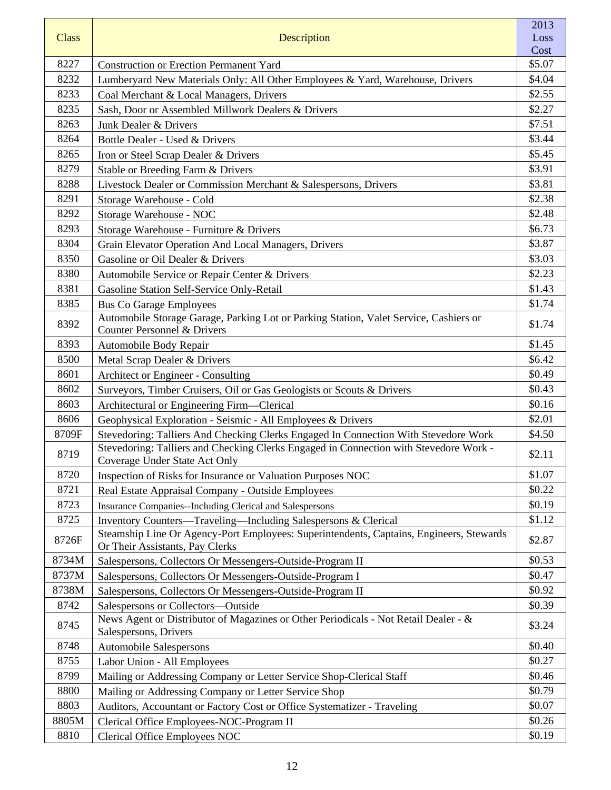| <b>Class</b> | Description                                                                                                                | 2013<br>Loss |
|--------------|----------------------------------------------------------------------------------------------------------------------------|--------------|
|              |                                                                                                                            | Cost         |
| 8227         | <b>Construction or Erection Permanent Yard</b>                                                                             | \$5.07       |
| 8232         | Lumberyard New Materials Only: All Other Employees & Yard, Warehouse, Drivers                                              | \$4.04       |
| 8233         | Coal Merchant & Local Managers, Drivers                                                                                    | \$2.55       |
| 8235         | Sash, Door or Assembled Millwork Dealers & Drivers                                                                         | \$2.27       |
| 8263         | Junk Dealer & Drivers                                                                                                      | \$7.51       |
| 8264         | Bottle Dealer - Used & Drivers                                                                                             | \$3.44       |
| 8265         | Iron or Steel Scrap Dealer & Drivers                                                                                       | \$5.45       |
| 8279         | Stable or Breeding Farm & Drivers                                                                                          | \$3.91       |
| 8288         | Livestock Dealer or Commission Merchant & Salespersons, Drivers                                                            | \$3.81       |
| 8291         | Storage Warehouse - Cold                                                                                                   | \$2.38       |
| 8292         | Storage Warehouse - NOC                                                                                                    | \$2.48       |
| 8293         | Storage Warehouse - Furniture & Drivers                                                                                    | \$6.73       |
| 8304         | Grain Elevator Operation And Local Managers, Drivers                                                                       | \$3.87       |
| 8350         | Gasoline or Oil Dealer & Drivers                                                                                           | \$3.03       |
| 8380         | Automobile Service or Repair Center & Drivers                                                                              | \$2.23       |
| 8381         | Gasoline Station Self-Service Only-Retail                                                                                  | \$1.43       |
| 8385         | <b>Bus Co Garage Employees</b>                                                                                             | \$1.74       |
| 8392         | Automobile Storage Garage, Parking Lot or Parking Station, Valet Service, Cashiers or                                      | \$1.74       |
|              | Counter Personnel & Drivers                                                                                                |              |
| 8393         | Automobile Body Repair                                                                                                     | \$1.45       |
| 8500         | Metal Scrap Dealer & Drivers                                                                                               | \$6.42       |
| 8601         | Architect or Engineer - Consulting                                                                                         | \$0.49       |
| 8602         | Surveyors, Timber Cruisers, Oil or Gas Geologists or Scouts & Drivers                                                      | \$0.43       |
| 8603         | Architectural or Engineering Firm—Clerical                                                                                 | \$0.16       |
| 8606         | Geophysical Exploration - Seismic - All Employees & Drivers                                                                | \$2.01       |
| 8709F        | Stevedoring: Talliers And Checking Clerks Engaged In Connection With Stevedore Work                                        | \$4.50       |
| 8719         | Stevedoring: Talliers and Checking Clerks Engaged in Connection with Stevedore Work -<br>Coverage Under State Act Only     | \$2.11       |
| 8720         | Inspection of Risks for Insurance or Valuation Purposes NOC                                                                | \$1.07       |
| 8721         | Real Estate Appraisal Company - Outside Employees                                                                          | \$0.22       |
| 8723         | Insurance Companies--Including Clerical and Salespersons                                                                   | \$0.19       |
| 8725         | Inventory Counters—Traveling—Including Salespersons & Clerical                                                             | \$1.12       |
| 8726F        | Steamship Line Or Agency-Port Employees: Superintendents, Captains, Engineers, Stewards<br>Or Their Assistants, Pay Clerks | \$2.87       |
| 8734M        | Salespersons, Collectors Or Messengers-Outside-Program II                                                                  | \$0.53       |
| 8737M        | Salespersons, Collectors Or Messengers-Outside-Program I                                                                   | \$0.47       |
| 8738M        | Salespersons, Collectors Or Messengers-Outside-Program II                                                                  | \$0.92       |
| 8742         | Salespersons or Collectors-Outside                                                                                         | \$0.39       |
| 8745         | News Agent or Distributor of Magazines or Other Periodicals - Not Retail Dealer - &<br>Salespersons, Drivers               | \$3.24       |
| 8748         | <b>Automobile Salespersons</b>                                                                                             | \$0.40       |
| 8755         | Labor Union - All Employees                                                                                                | \$0.27       |
| 8799         | Mailing or Addressing Company or Letter Service Shop-Clerical Staff                                                        | \$0.46       |
| 8800         | Mailing or Addressing Company or Letter Service Shop                                                                       | \$0.79       |
| 8803         | Auditors, Accountant or Factory Cost or Office Systematizer - Traveling                                                    | \$0.07       |
| 8805M        | Clerical Office Employees-NOC-Program II                                                                                   | \$0.26       |
| 8810         | Clerical Office Employees NOC                                                                                              | \$0.19       |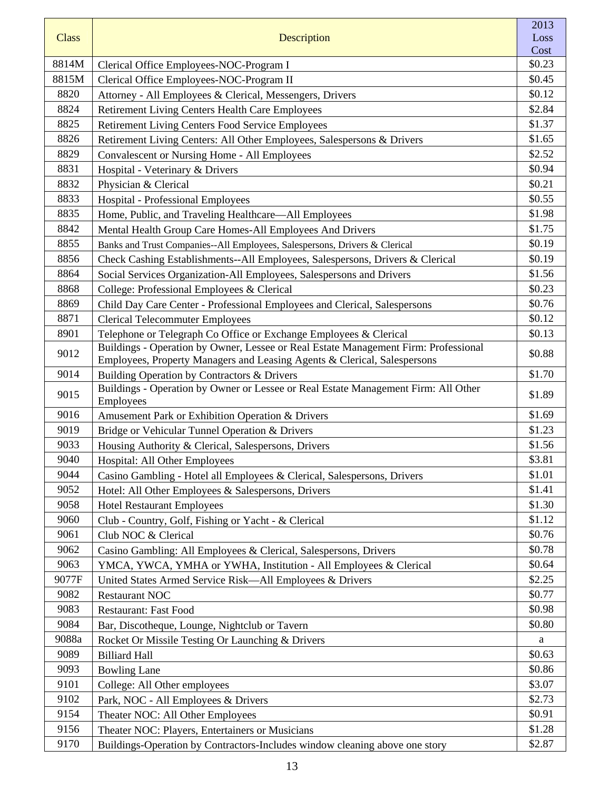|              |                                                                                                                                                                 | 2013         |
|--------------|-----------------------------------------------------------------------------------------------------------------------------------------------------------------|--------------|
| <b>Class</b> | Description                                                                                                                                                     | Loss<br>Cost |
| 8814M        | Clerical Office Employees-NOC-Program I                                                                                                                         | \$0.23       |
| 8815M        | Clerical Office Employees-NOC-Program II                                                                                                                        | \$0.45       |
| 8820         | Attorney - All Employees & Clerical, Messengers, Drivers                                                                                                        | \$0.12       |
| 8824         | <b>Retirement Living Centers Health Care Employees</b>                                                                                                          | \$2.84       |
| 8825         | <b>Retirement Living Centers Food Service Employees</b>                                                                                                         | \$1.37       |
| 8826         | Retirement Living Centers: All Other Employees, Salespersons & Drivers                                                                                          | \$1.65       |
| 8829         | <b>Convalescent or Nursing Home - All Employees</b>                                                                                                             | \$2.52       |
| 8831         | Hospital - Veterinary & Drivers                                                                                                                                 | \$0.94       |
| 8832         | Physician & Clerical                                                                                                                                            | \$0.21       |
| 8833         | Hospital - Professional Employees                                                                                                                               | \$0.55       |
| 8835         | Home, Public, and Traveling Healthcare—All Employees                                                                                                            | \$1.98       |
| 8842         | Mental Health Group Care Homes-All Employees And Drivers                                                                                                        | \$1.75       |
| 8855         | Banks and Trust Companies--All Employees, Salespersons, Drivers & Clerical                                                                                      | \$0.19       |
| 8856         | Check Cashing Establishments--All Employees, Salespersons, Drivers & Clerical                                                                                   | \$0.19       |
| 8864         | Social Services Organization-All Employees, Salespersons and Drivers                                                                                            | \$1.56       |
| 8868         | College: Professional Employees & Clerical                                                                                                                      | \$0.23       |
| 8869         | Child Day Care Center - Professional Employees and Clerical, Salespersons                                                                                       | \$0.76       |
| 8871         | <b>Clerical Telecommuter Employees</b>                                                                                                                          | \$0.12       |
| 8901         | Telephone or Telegraph Co Office or Exchange Employees & Clerical                                                                                               | \$0.13       |
| 9012         | Buildings - Operation by Owner, Lessee or Real Estate Management Firm: Professional<br>Employees, Property Managers and Leasing Agents & Clerical, Salespersons | \$0.88       |
| 9014         | Building Operation by Contractors & Drivers                                                                                                                     | \$1.70       |
| 9015         | Buildings - Operation by Owner or Lessee or Real Estate Management Firm: All Other<br>Employees                                                                 | \$1.89       |
| 9016         | Amusement Park or Exhibition Operation & Drivers                                                                                                                | \$1.69       |
| 9019         | Bridge or Vehicular Tunnel Operation & Drivers                                                                                                                  | \$1.23       |
| 9033         | Housing Authority & Clerical, Salespersons, Drivers                                                                                                             | \$1.56       |
| 9040         | Hospital: All Other Employees                                                                                                                                   | \$3.81       |
| 9044         | Casino Gambling - Hotel all Employees & Clerical, Salespersons, Drivers                                                                                         | \$1.01       |
| 9052         | Hotel: All Other Employees & Salespersons, Drivers                                                                                                              | \$1.41       |
| 9058         | <b>Hotel Restaurant Employees</b>                                                                                                                               | \$1.30       |
| 9060         | Club - Country, Golf, Fishing or Yacht - & Clerical                                                                                                             | \$1.12       |
| 9061         | Club NOC & Clerical                                                                                                                                             | \$0.76       |
| 9062         | Casino Gambling: All Employees & Clerical, Salespersons, Drivers                                                                                                | \$0.78       |
| 9063         | YMCA, YWCA, YMHA or YWHA, Institution - All Employees & Clerical                                                                                                | \$0.64       |
| 9077F        | United States Armed Service Risk—All Employees & Drivers                                                                                                        | \$2.25       |
| 9082         | <b>Restaurant NOC</b>                                                                                                                                           | \$0.77       |
| 9083         | <b>Restaurant: Fast Food</b>                                                                                                                                    | \$0.98       |
| 9084         | Bar, Discotheque, Lounge, Nightclub or Tavern                                                                                                                   | \$0.80       |
| 9088a        | Rocket Or Missile Testing Or Launching & Drivers                                                                                                                | a            |
| 9089         | <b>Billiard Hall</b>                                                                                                                                            | \$0.63       |
| 9093         | <b>Bowling Lane</b>                                                                                                                                             | \$0.86       |
| 9101         | College: All Other employees                                                                                                                                    | \$3.07       |
| 9102         | Park, NOC - All Employees & Drivers                                                                                                                             | \$2.73       |
| 9154         | Theater NOC: All Other Employees                                                                                                                                | \$0.91       |
| 9156         | Theater NOC: Players, Entertainers or Musicians                                                                                                                 | \$1.28       |
| 9170         | Buildings-Operation by Contractors-Includes window cleaning above one story                                                                                     | \$2.87       |